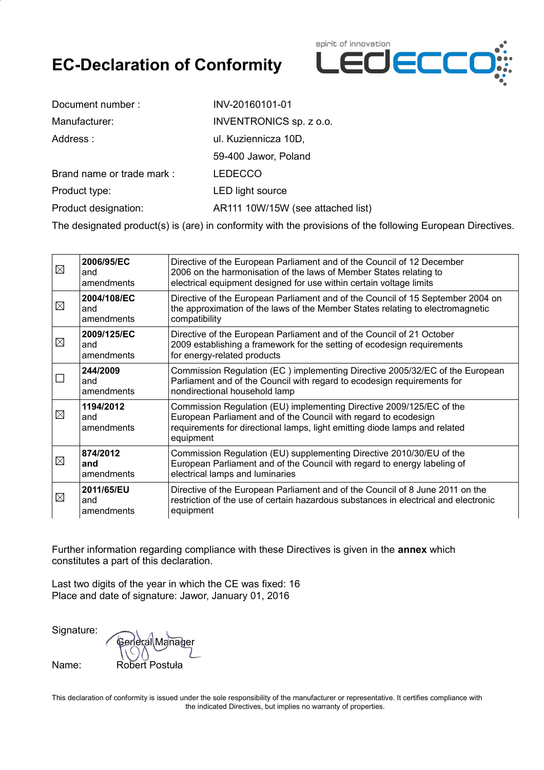# **EC-Declaration of Conformity**



| Document number:          | INV-20160101-01                   |
|---------------------------|-----------------------------------|
| Manufacturer:             | <b>INVENTRONICS</b> sp. z o.o.    |
| Address:                  | ul. Kuziennicza 10D,              |
|                           | 59-400 Jawor, Poland              |
| Brand name or trade mark: | <b>LEDECCO</b>                    |
| Product type:             | <b>LED light source</b>           |
| Product designation:      | AR111 10W/15W (see attached list) |
|                           |                                   |

The designated product(s) is (are) in conformity with the provisions of the following European Directives.

| ⊠           | 2006/95/EC<br>and<br>amendments                                                                                                                                                                                      | Directive of the European Parliament and of the Council of 12 December<br>2006 on the harmonisation of the laws of Member States relating to<br>electrical equipment designed for use within certain voltage limits                |  |
|-------------|----------------------------------------------------------------------------------------------------------------------------------------------------------------------------------------------------------------------|------------------------------------------------------------------------------------------------------------------------------------------------------------------------------------------------------------------------------------|--|
| $\boxtimes$ | 2004/108/EC<br>and<br>amendments                                                                                                                                                                                     | Directive of the European Parliament and of the Council of 15 September 2004 on<br>the approximation of the laws of the Member States relating to electromagnetic<br>compatibility                                                 |  |
| $\boxtimes$ | 2009/125/EC<br>and<br>amendments                                                                                                                                                                                     | Directive of the European Parliament and of the Council of 21 October<br>2009 establishing a framework for the setting of ecodesign requirements<br>for energy-related products                                                    |  |
|             | 244/2009<br>and<br>amendments                                                                                                                                                                                        | Commission Regulation (EC) implementing Directive 2005/32/EC of the European<br>Parliament and of the Council with regard to ecodesign requirements for<br>nondirectional household lamp                                           |  |
| $\boxtimes$ | 1194/2012<br>and<br>amendments                                                                                                                                                                                       | Commission Regulation (EU) implementing Directive 2009/125/EC of the<br>European Parliament and of the Council with regard to ecodesign<br>requirements for directional lamps, light emitting diode lamps and related<br>equipment |  |
| ⊠           | 874/2012<br>and<br>amendments                                                                                                                                                                                        | Commission Regulation (EU) supplementing Directive 2010/30/EU of the<br>European Parliament and of the Council with regard to energy labeling of<br>electrical lamps and luminaries                                                |  |
| ⊠           | 2011/65/EU<br>Directive of the European Parliament and of the Council of 8 June 2011 on the<br>restriction of the use of certain hazardous substances in electrical and electronic<br>and<br>equipment<br>amendments |                                                                                                                                                                                                                                    |  |

Further information regarding compliance with these Directives is given in the **annex** which constitutes a part of this declaration.

Last two digits of the year in which the CE was fixed: 16 Place and date of signature: Jawor, January 01, 2016

Signature:

Manaher Name: Robert Postuła

This declaration of conformity is issued under the sole responsibility of the manufacturer or representative. It certifies compliance with the indicated Directives, but implies no warranty of properties.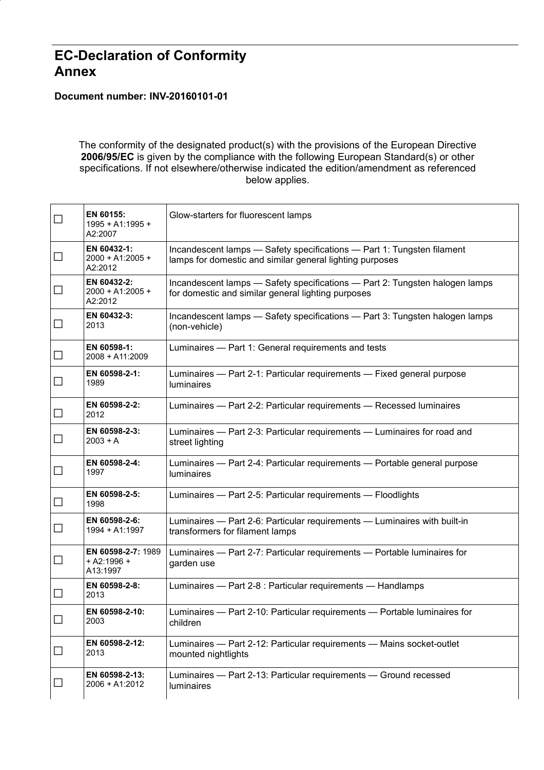### **EC-Declaration of Conformity Annex**

#### **Document number: INV-20160101-01**

The conformity of the designated product(s) with the provisions of the European Directive **2006/95/EC** is given by the compliance with the following European Standard(s) or other specifications. If not elsewhere/otherwise indicated the edition/amendment as referenced below applies.

| $\Box$ | EN 60155:<br>1995 + A1:1995 +<br>A2:2007        | Glow-starters for fluorescent lamps                                                                                                |  |
|--------|-------------------------------------------------|------------------------------------------------------------------------------------------------------------------------------------|--|
| $\Box$ | EN 60432-1:<br>2000 + A1:2005 +<br>A2:2012      | Incandescent lamps - Safety specifications - Part 1: Tungsten filament<br>lamps for domestic and similar general lighting purposes |  |
| $\Box$ | EN 60432-2:<br>2000 + A1:2005 +<br>A2:2012      | Incandescent lamps - Safety specifications - Part 2: Tungsten halogen lamps<br>for domestic and similar general lighting purposes  |  |
| $\Box$ | EN 60432-3:<br>2013                             | Incandescent lamps - Safety specifications - Part 3: Tungsten halogen lamps<br>(non-vehicle)                                       |  |
| $\Box$ | EN 60598-1:<br>2008 + A11:2009                  | Luminaires - Part 1: General requirements and tests                                                                                |  |
| $\Box$ | EN 60598-2-1:<br>1989                           | Luminaires - Part 2-1: Particular requirements - Fixed general purpose<br><b>luminaires</b>                                        |  |
| $\Box$ | EN 60598-2-2:<br>2012                           | Luminaires - Part 2-2: Particular requirements - Recessed luminaires                                                               |  |
| $\Box$ | EN 60598-2-3:<br>$2003 + A$                     | Luminaires - Part 2-3: Particular requirements - Luminaires for road and<br>street lighting                                        |  |
| $\Box$ | EN 60598-2-4:<br>1997                           | Luminaires - Part 2-4: Particular requirements - Portable general purpose<br><b>luminaires</b>                                     |  |
| $\Box$ | EN 60598-2-5:<br>1998                           | Luminaires - Part 2-5: Particular requirements - Floodlights                                                                       |  |
| $\Box$ | EN 60598-2-6:<br>1994 + A1:1997                 | Luminaires - Part 2-6: Particular requirements - Luminaires with built-in<br>transformers for filament lamps                       |  |
| $\Box$ | EN 60598-2-7: 1989<br>$+$ A2:1996 +<br>A13:1997 | Luminaires - Part 2-7: Particular requirements - Portable luminaires for<br>garden use                                             |  |
| $\Box$ | EN 60598-2-8:<br>2013                           | Luminaires - Part 2-8 : Particular requirements - Handlamps                                                                        |  |
| $\Box$ | EN 60598-2-10:<br>2003                          | Luminaires - Part 2-10: Particular requirements - Portable luminaires for<br>children                                              |  |
| $\Box$ | EN 60598-2-12:<br>2013                          | Luminaires - Part 2-12: Particular requirements - Mains socket-outlet<br>mounted nightlights                                       |  |
| $\Box$ | EN 60598-2-13:<br>2006 + A1:2012                | Luminaires - Part 2-13: Particular requirements - Ground recessed<br>luminaires                                                    |  |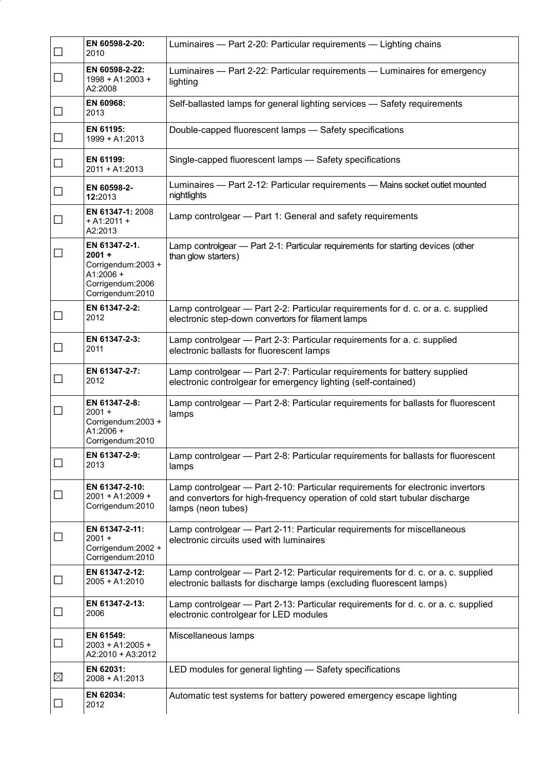| $\Box$       | EN 60598-2-20:<br>2010                                                                                  | Luminaires - Part 2-20: Particular requirements - Lighting chains                                                                                                                   |  |
|--------------|---------------------------------------------------------------------------------------------------------|-------------------------------------------------------------------------------------------------------------------------------------------------------------------------------------|--|
| $\Box$       | EN 60598-2-22:<br>1998 + A1:2003 +<br>A2:2008                                                           | Luminaires - Part 2-22: Particular requirements - Luminaires for emergency<br>lighting                                                                                              |  |
| $\Box$       | EN 60968:<br>2013                                                                                       | Self-ballasted lamps for general lighting services - Safety requirements                                                                                                            |  |
| $\Box$       | EN 61195:<br>1999 + A1:2013                                                                             | Double-capped fluorescent lamps - Safety specifications                                                                                                                             |  |
| $\Box$       | EN 61199:<br>$2011 + A1:2013$                                                                           | Single-capped fluorescent lamps - Safety specifications                                                                                                                             |  |
| $\Box$       | EN 60598-2-<br>12:2013                                                                                  | Luminaires - Part 2-12: Particular requirements - Mains socket outlet mounted<br>nightlights                                                                                        |  |
| $\Box$       | EN 61347-1: 2008<br>$+$ A1:2011 +<br>A2:2013                                                            | Lamp controlgear - Part 1: General and safety requirements                                                                                                                          |  |
| $\mathbf{L}$ | EN 61347-2-1.<br>$2001 +$<br>Corrigendum: 2003 +<br>$A1:2006 +$<br>Corrigendum:2006<br>Corrigendum:2010 | Lamp controlgear - Part 2-1: Particular requirements for starting devices (other<br>than glow starters)                                                                             |  |
| $\Box$       | EN 61347-2-2:<br>2012                                                                                   | Lamp controlgear - Part 2-2: Particular requirements for d. c. or a. c. supplied<br>electronic step-down convertors for filament lamps                                              |  |
| $\Box$       | EN 61347-2-3:<br>2011                                                                                   | Lamp controlgear - Part 2-3: Particular requirements for a. c. supplied<br>electronic ballasts for fluorescent lamps                                                                |  |
| $\Box$       | EN 61347-2-7:<br>2012                                                                                   | Lamp controlgear - Part 2-7: Particular requirements for battery supplied<br>electronic controlgear for emergency lighting (self-contained)                                         |  |
| $\Box$       | EN 61347-2-8:<br>$2001 +$<br>Corrigendum: 2003 +<br>A1:2006 +<br>Corrigendum:2010                       | Lamp controlgear - Part 2-8: Particular requirements for ballasts for fluorescent<br>lamps                                                                                          |  |
| $\Box$       | EN 61347-2-9:<br>2013                                                                                   | Lamp controlgear - Part 2-8: Particular requirements for ballasts for fluorescent<br>lamps                                                                                          |  |
| $\Box$       | EN 61347-2-10:<br>2001 + A1:2009 +<br>Corrigendum:2010                                                  | Lamp controlgear - Part 2-10: Particular requirements for electronic invertors<br>and convertors for high-frequency operation of cold start tubular discharge<br>lamps (neon tubes) |  |
| $\Box$       | EN 61347-2-11:<br>$2001 +$<br>Corrigendum: 2002 +<br>Corrigendum:2010                                   | Lamp controlgear - Part 2-11: Particular requirements for miscellaneous<br>electronic circuits used with luminaires                                                                 |  |
| $\Box$       | EN 61347-2-12:<br>$2005 + A1:2010$                                                                      | Lamp controlgear - Part 2-12: Particular requirements for d. c. or a. c. supplied<br>electronic ballasts for discharge lamps (excluding fluorescent lamps)                          |  |
| $\Box$       | EN 61347-2-13:<br>2006                                                                                  | Lamp controlgear - Part 2-13: Particular requirements for d. c. or a. c. supplied<br>electronic controlgear for LED modules                                                         |  |
| $\Box$       | EN 61549:<br>2003 + A1:2005 +<br>A2:2010 + A3:2012                                                      | Miscellaneous lamps                                                                                                                                                                 |  |
| $\boxtimes$  | EN 62031:<br>$2008 + A1:2013$                                                                           | LED modules for general lighting - Safety specifications                                                                                                                            |  |
| ⊔            | EN 62034:<br>2012                                                                                       | Automatic test systems for battery powered emergency escape lighting                                                                                                                |  |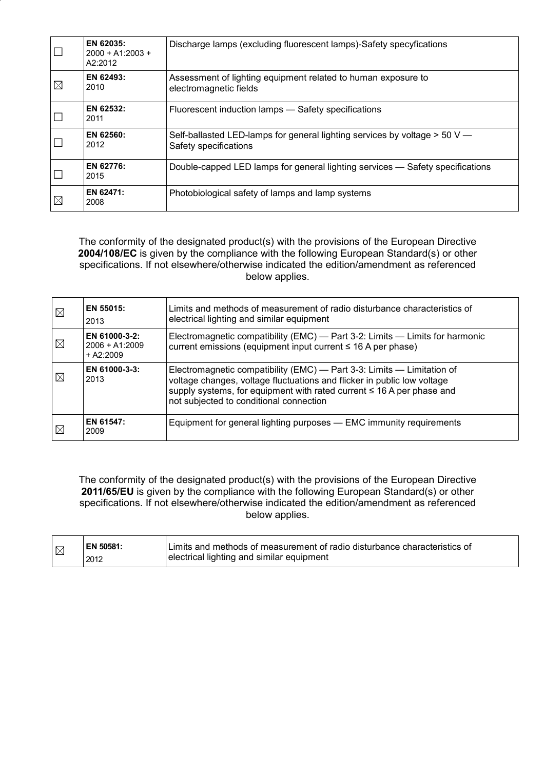|             | EN 62035:<br>$2000 + A1:2003 +$<br>A2:2012 | Discharge lamps (excluding fluorescent lamps)-Safety specyfications                                   |  |
|-------------|--------------------------------------------|-------------------------------------------------------------------------------------------------------|--|
| $\boxtimes$ | EN 62493:<br>2010                          | Assessment of lighting equipment related to human exposure to<br>electromagnetic fields               |  |
|             | EN 62532:<br>2011                          | Fluorescent induction lamps - Safety specifications                                                   |  |
|             | EN 62560:<br>2012                          | Self-ballasted LED-lamps for general lighting services by voltage $> 50$ V —<br>Safety specifications |  |
|             | EN 62776:<br>2015                          | Double-capped LED lamps for general lighting services — Safety specifications                         |  |
| $\boxtimes$ | EN 62471:<br>2008                          | Photobiological safety of lamps and lamp systems                                                      |  |

The conformity of the designated product(s) with the provisions of the European Directive **2004/108/EC** is given by the compliance with the following European Standard(s) or other specifications. If not elsewhere/otherwise indicated the edition/amendment as referenced below applies.

| $\boxtimes$ | EN 55015:<br>2013                                | Limits and methods of measurement of radio disturbance characteristics of<br>electrical lighting and similar equipment                                                                                                                                                |  |
|-------------|--------------------------------------------------|-----------------------------------------------------------------------------------------------------------------------------------------------------------------------------------------------------------------------------------------------------------------------|--|
| $\boxtimes$ | EN 61000-3-2:<br>$2006 + A1:2009$<br>$+ A2:2009$ | Electromagnetic compatibility (EMC) — Part 3-2: Limits — Limits for harmonic<br>current emissions (equipment input current $\leq 16$ A per phase)                                                                                                                     |  |
| $\boxtimes$ | EN 61000-3-3:<br>2013                            | Electromagnetic compatibility (EMC) — Part 3-3: Limits — Limitation of<br>voltage changes, voltage fluctuations and flicker in public low voltage<br>supply systems, for equipment with rated current ≤ 16 A per phase and<br>not subjected to conditional connection |  |
| $\boxtimes$ | EN 61547:<br>2009                                | Equipment for general lighting purposes - EMC immunity requirements                                                                                                                                                                                                   |  |

The conformity of the designated product(s) with the provisions of the European Directive **2011/65/EU** is given by the compliance with the following European Standard(s) or other specifications. If not elsewhere/otherwise indicated the edition/amendment as referenced below applies.

| $\mathbb{E}$ | EN 50581: | Limits and methods of measurement of radio disturbance characteristics of |
|--------------|-----------|---------------------------------------------------------------------------|
|              | 2012      | electrical lighting and similar equipment                                 |